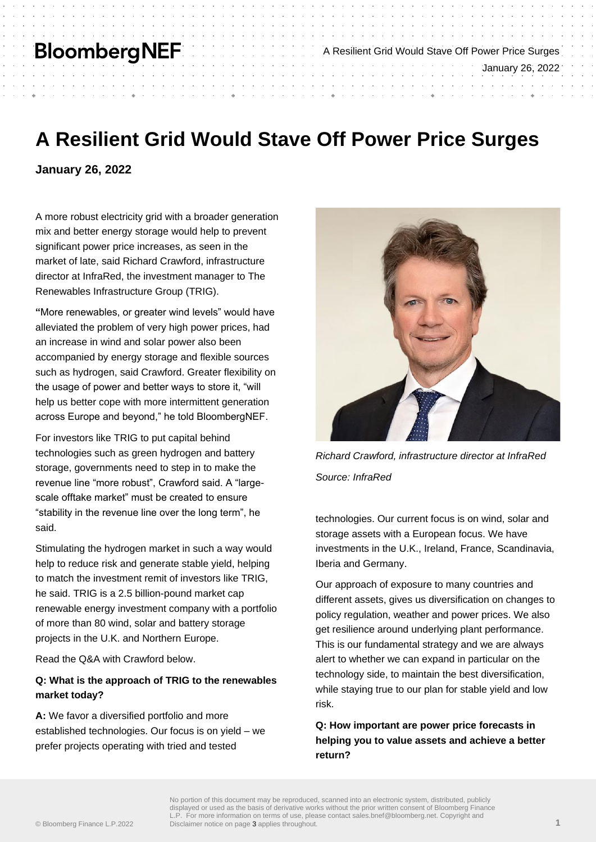## **BloombergNEF**

# **A Resilient Grid Would Stave Off Power Price Surges**

**January 26, 2022**

A more robust electricity grid with a broader generation mix and better energy storage would help to prevent significant power price increases, as seen in the market of late, said Richard Crawford, infrastructure director at InfraRed, the investment manager to The Renewables Infrastructure Group (TRIG).

**"**More renewables, or greater wind levels" would have alleviated the problem of very high power prices, had an increase in wind and solar power also been accompanied by energy storage and flexible sources such as hydrogen, said Crawford. Greater flexibility on the usage of power and better ways to store it, "will help us better cope with more intermittent generation across Europe and beyond," he told BloombergNEF.

For investors like TRIG to put capital behind technologies such as green hydrogen and battery storage, governments need to step in to make the revenue line "more robust", Crawford said. A "largescale offtake market" must be created to ensure "stability in the revenue line over the long term", he said.

Stimulating the hydrogen market in such a way would help to reduce risk and generate stable yield, helping to match the investment remit of investors like TRIG, he said. TRIG is a 2.5 billion-pound market cap renewable energy investment company with a portfolio of more than 80 wind, solar and battery storage projects in the U.K. and Northern Europe.

Read the Q&A with Crawford below.

### **Q: What is the approach of TRIG to the renewables market today?**

**A:** We favor a diversified portfolio and more established technologies. Our focus is on yield – we prefer projects operating with tried and tested



A Resilient Grid Would Stave Off Power Price Surges

January 26, 2022

*Richard Crawford, infrastructure director at InfraRed Source: InfraRed*

technologies. Our current focus is on wind, solar and storage assets with a European focus. We have investments in the U.K., Ireland, France, Scandinavia, Iberia and Germany.

Our approach of exposure to many countries and different assets, gives us diversification on changes to policy regulation, weather and power prices. We also get resilience around underlying plant performance. This is our fundamental strategy and we are always alert to whether we can expand in particular on the technology side, to maintain the best diversification, while staying true to our plan for stable yield and low risk.

**Q: How important are power price forecasts in helping you to value assets and achieve a better return?**

No portion of this document may be reproduced, scanned into an electronic system, distributed, publicly displayed or used as the basis of derivative works without the prior written consent of Bloomberg Finance L.P. For more information on terms of use, please contact sales.bnef@bloomberg.net. Copyright and Disclaimer notice on page 3 applies throughout. **1**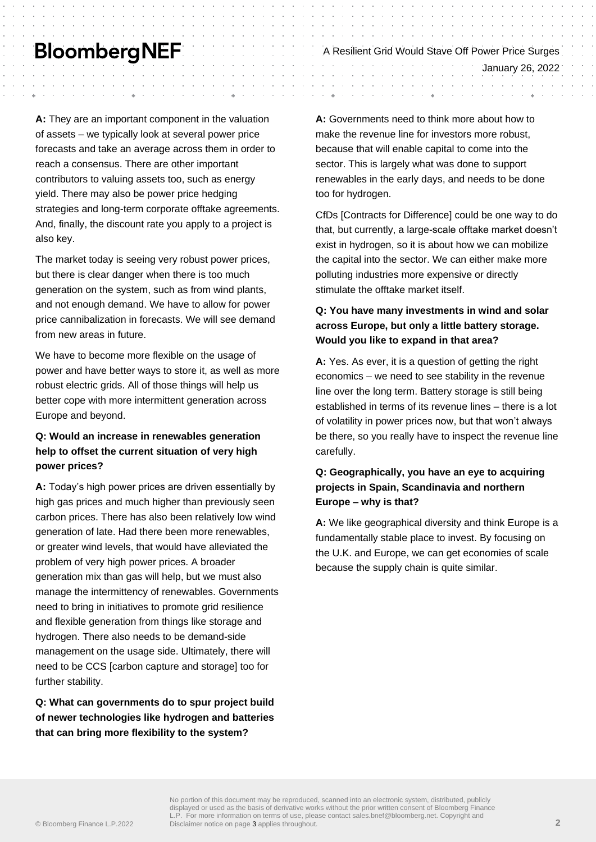# **BloombergNEF**

**A:** They are an important component in the valuation of assets – we typically look at several power price forecasts and take an average across them in order to reach a consensus. There are other important contributors to valuing assets too, such as energy yield. There may also be power price hedging strategies and long-term corporate offtake agreements. And, finally, the discount rate you apply to a project is also key.

The market today is seeing very robust power prices, but there is clear danger when there is too much generation on the system, such as from wind plants, and not enough demand. We have to allow for power price cannibalization in forecasts. We will see demand from new areas in future.

We have to become more flexible on the usage of power and have better ways to store it, as well as more robust electric grids. All of those things will help us better cope with more intermittent generation across Europe and beyond.

## **Q: Would an increase in renewables generation help to offset the current situation of very high power prices?**

**A:** Today's high power prices are driven essentially by high gas prices and much higher than previously seen carbon prices. There has also been relatively low wind generation of late. Had there been more renewables, or greater wind levels, that would have alleviated the problem of very high power prices. A broader generation mix than gas will help, but we must also manage the intermittency of renewables. Governments need to bring in initiatives to promote grid resilience and flexible generation from things like storage and hydrogen. There also needs to be demand-side management on the usage side. Ultimately, there will need to be CCS [carbon capture and storage] too for further stability.

**Q: What can governments do to spur project build of newer technologies like hydrogen and batteries that can bring more flexibility to the system?**

**A:** Governments need to think more about how to make the revenue line for investors more robust, because that will enable capital to come into the sector. This is largely what was done to support renewables in the early days, and needs to be done too for hydrogen.

A Resilient Grid Would Stave Off Power Price Surges

January 26, 2022

CfDs [Contracts for Difference] could be one way to do that, but currently, a large-scale offtake market doesn't exist in hydrogen, so it is about how we can mobilize the capital into the sector. We can either make more polluting industries more expensive or directly stimulate the offtake market itself.

## **Q: You have many investments in wind and solar across Europe, but only a little battery storage. Would you like to expand in that area?**

**A:** Yes. As ever, it is a question of getting the right economics – we need to see stability in the revenue line over the long term. Battery storage is still being established in terms of its revenue lines – there is a lot of volatility in power prices now, but that won't always be there, so you really have to inspect the revenue line carefully.

## **Q: Geographically, you have an eye to acquiring projects in Spain, Scandinavia and northern Europe – why is that?**

**A:** We like geographical diversity and think Europe is a fundamentally stable place to invest. By focusing on the U.K. and Europe, we can get economies of scale because the supply chain is quite similar.